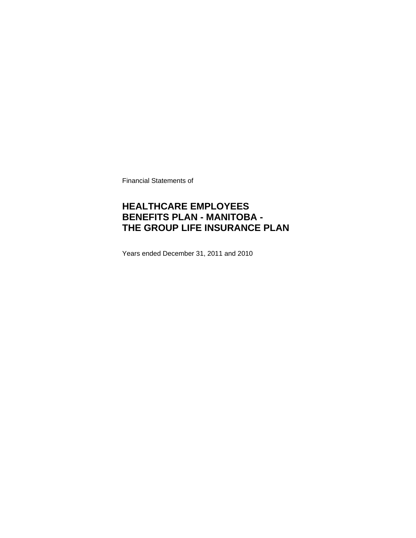Financial Statements of

### **HEALTHCARE EMPLOYEES BENEFITS PLAN - MANITOBA - THE GROUP LIFE INSURANCE PLAN**

Years ended December 31, 2011 and 2010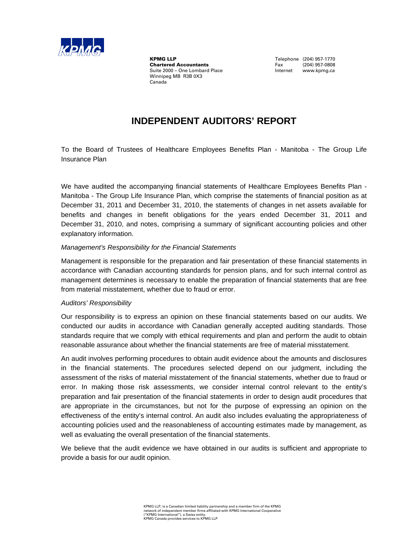

**KPMG LLP**<br> **Chartered Accountants**<br> **Chartered Accountants**<br>
Tax (204) 957-0808 **Chartered Accountants**<br>Suite 2000 - One Lombard Place Winnipeg MB R3B 0X3 Canada

Internet www.kpmg.ca

### **INDEPENDENT AUDITORS' REPORT**

To the Board of Trustees of Healthcare Employees Benefits Plan - Manitoba - The Group Life Insurance Plan

We have audited the accompanying financial statements of Healthcare Employees Benefits Plan - Manitoba - The Group Life Insurance Plan, which comprise the statements of financial position as at December 31, 2011 and December 31, 2010, the statements of changes in net assets available for benefits and changes in benefit obligations for the years ended December 31, 2011 and December 31, 2010, and notes, comprising a summary of significant accounting policies and other explanatory information.

#### *Management's Responsibility for the Financial Statements*

Management is responsible for the preparation and fair presentation of these financial statements in accordance with Canadian accounting standards for pension plans, and for such internal control as management determines is necessary to enable the preparation of financial statements that are free from material misstatement, whether due to fraud or error.

#### *Auditors' Responsibility*

Our responsibility is to express an opinion on these financial statements based on our audits. We conducted our audits in accordance with Canadian generally accepted auditing standards. Those standards require that we comply with ethical requirements and plan and perform the audit to obtain reasonable assurance about whether the financial statements are free of material misstatement.

An audit involves performing procedures to obtain audit evidence about the amounts and disclosures in the financial statements. The procedures selected depend on our judgment, including the assessment of the risks of material misstatement of the financial statements, whether due to fraud or error. In making those risk assessments, we consider internal control relevant to the entity's preparation and fair presentation of the financial statements in order to design audit procedures that are appropriate in the circumstances, but not for the purpose of expressing an opinion on the effectiveness of the entity's internal control. An audit also includes evaluating the appropriateness of accounting policies used and the reasonableness of accounting estimates made by management, as well as evaluating the overall presentation of the financial statements.

We believe that the audit evidence we have obtained in our audits is sufficient and appropriate to provide a basis for our audit opinion.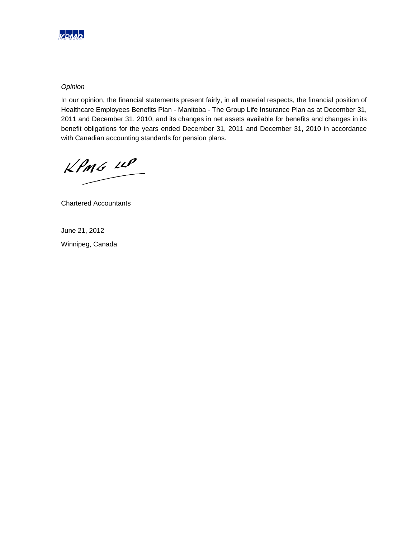

### *Opinion*

In our opinion, the financial statements present fairly, in all material respects, the financial position of Healthcare Employees Benefits Plan - Manitoba - The Group Life Insurance Plan as at December 31, 2011 and December 31, 2010, and its changes in net assets available for benefits and changes in its benefit obligations for the years ended December 31, 2011 and December 31, 2010 in accordance with Canadian accounting standards for pension plans.

 $KPMG$  14P

Chartered Accountants

June 21, 2012

Winnipeg, Canada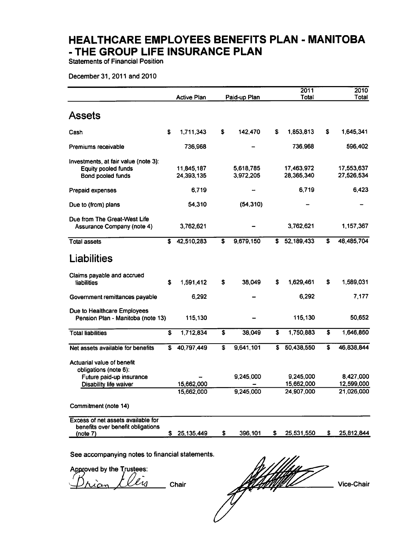**Statements of Financial Position** 

December 31, 2011 and 2010

|                                                                                  |    | <b>Active Plan</b>       |                             | Paid-up Plan           |    | 2011<br>Total            |    | 2010<br>Total            |
|----------------------------------------------------------------------------------|----|--------------------------|-----------------------------|------------------------|----|--------------------------|----|--------------------------|
|                                                                                  |    |                          |                             |                        |    |                          |    |                          |
| <b>Assets</b>                                                                    |    |                          |                             |                        |    |                          |    |                          |
| Cash                                                                             | \$ | 1,711,343                | \$                          | 142,470                | S  | 1,853,813                | \$ | 1,645,341                |
| Premiums receivable                                                              |    | 736.968                  |                             |                        |    | 736,968                  |    | 596,402                  |
| Investments, at fair value (note 3):<br>Equity pooled funds<br>Bond pooled funds |    | 11,845,187<br>24,393,135 |                             | 5,618,785<br>3,972,205 |    | 17,463,972<br>28,365,340 |    | 17,553,637<br>27,526,534 |
| Prepaid expenses                                                                 |    | 6,719                    |                             |                        |    | 6.719                    |    | 6,423                    |
| Due to (from) plans                                                              |    | 54,310                   |                             | (54, 310)              |    |                          |    |                          |
| Due from The Great-West Life<br>Assurance Company (note 4)                       |    | 3,762,621                |                             |                        |    | 3,762,621                |    | 1,157,367                |
| <b>Total assets</b>                                                              | s  | 42,510,283               | $\overline{\mathbf{S}}$     | 9,679,150              | s  | 52.189.433               | \$ | 48,485,704               |
| <b>Liabilities</b>                                                               |    |                          |                             |                        |    |                          |    |                          |
| Claims payable and accrued<br><b>liabilities</b>                                 | S  | 1.591.412                | \$                          | 38,049                 | \$ | 1,629,461                | \$ | 1,589,031                |
| Government remittances payable                                                   |    | 6.292                    |                             |                        |    | 6.292                    |    | 7.177                    |
| Due to Healthcare Employees<br>Pension Plan - Manitoba (note 13)                 |    | 115,130                  |                             |                        |    | 115,130                  |    | 50,652                   |
| <b>Total liabilities</b>                                                         | \$ | 1,712,834                | $\overline{\boldsymbol{s}}$ | 38,049                 | \$ | 1,750,883                | \$ | 1,646,860                |
| Net assets available for benefits                                                |    | \$40,797,449             | \$                          | 9,641,101              | S  | 50,438,550               | S  | 46,838,844               |
| Actuarial value of benefit<br>obligations (note 6):                              |    |                          |                             |                        |    |                          |    |                          |
| Future paid-up insurance                                                         |    |                          |                             | 9,245,000              |    | 9,245,000                |    | 8,427,000                |
| Disability life waiver                                                           |    | 15,662,000<br>15,662,000 |                             | 9,245,000              |    | 15,662,000<br>24,907,000 |    | 12,599,000<br>21,026,000 |
| Commitment (note 14)                                                             |    |                          |                             |                        |    |                          |    |                          |
| Excess of net assets available for<br>benefits over benefit obligations          |    |                          |                             |                        |    |                          |    |                          |
| (note 7)                                                                         | S. | 25.135.449               | s                           | 396.101                | \$ | 25,531,550               | \$ | 25,812,844               |

See accompanying notes to financial statements.

Approved by the Trustees:  $\ell_{\mathcal{U}}$ hìan Chair

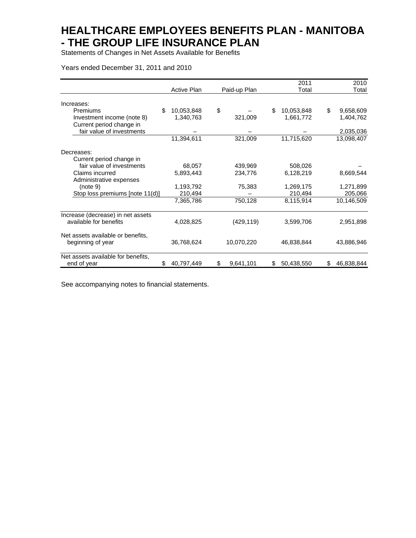Statements of Changes in Net Assets Available for Benefits

Years ended December 31, 2011 and 2010

|                                    |                    |                 | 2011             | 2010             |
|------------------------------------|--------------------|-----------------|------------------|------------------|
|                                    | <b>Active Plan</b> | Paid-up Plan    | Total            | Total            |
| Increases:                         |                    |                 |                  |                  |
| \$<br>Premiums                     | 10,053,848         | \$              | \$<br>10,053,848 | \$<br>9,658,609  |
| Investment income (note 8)         | 1,340,763          | 321,009         | 1,661,772        | 1,404,762        |
| Current period change in           |                    |                 |                  |                  |
| fair value of investments          |                    |                 |                  | 2,035,036        |
|                                    | 11,394,611         | 321,009         | 11,715,620       | 13,098,407       |
| Decreases:                         |                    |                 |                  |                  |
| Current period change in           |                    |                 |                  |                  |
| fair value of investments          | 68,057             | 439,969         | 508,026          |                  |
| Claims incurred                    | 5,893,443          | 234,776         | 6,128,219        | 8,669,544        |
| Administrative expenses            |                    |                 |                  |                  |
| (note 9)                           | 1,193,792          | 75,383          | 1,269,175        | 1,271,899        |
| Stop loss premiums [note 11(d)]    | 210,494            |                 | 210,494          | 205,066          |
|                                    | 7,365,786          | 750,128         | 8,115,914        | 10,146,509       |
| Increase (decrease) in net assets  |                    |                 |                  |                  |
| available for benefits             | 4,028,825          | (429, 119)      | 3,599,706        | 2,951,898        |
|                                    |                    |                 |                  |                  |
| Net assets available or benefits,  |                    |                 |                  |                  |
| beginning of year                  | 36,768,624         | 10,070,220      | 46,838,844       | 43,886,946       |
|                                    |                    |                 |                  |                  |
| Net assets available for benefits, |                    |                 |                  |                  |
| end of year<br>\$                  | 40,797,449         | \$<br>9,641,101 | 50,438,550<br>\$ | 46,838,844<br>\$ |

See accompanying notes to financial statements.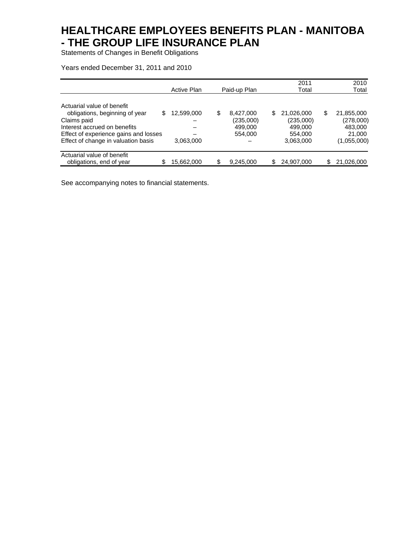Statements of Changes in Benefit Obligations

Years ended December 31, 2011 and 2010

|                                       |   | Active Plan | Paid-up Plan    |   | 2011<br>Total | 2010<br>Total    |
|---------------------------------------|---|-------------|-----------------|---|---------------|------------------|
|                                       |   |             |                 |   |               |                  |
| Actuarial value of benefit            |   |             |                 |   |               |                  |
| obligations, beginning of year        | S | 12,599,000  | \$<br>8,427,000 | S | 21,026,000    | \$<br>21,855,000 |
| Claims paid                           |   |             | (235,000)       |   | (235,000)     | (278,000)        |
| Interest accrued on benefits          |   |             | 499,000         |   | 499,000       | 483.000          |
| Effect of experience gains and losses |   |             | 554,000         |   | 554,000       | 21,000           |
| Effect of change in valuation basis   |   | 3,063,000   |                 |   | 3,063,000     | (1,055,000)      |
| Actuarial value of benefit            |   |             |                 |   |               |                  |
| obligations, end of year              |   | 15,662,000  | \$<br>9,245,000 | S | 24,907,000    | 21,026,000       |

See accompanying notes to financial statements.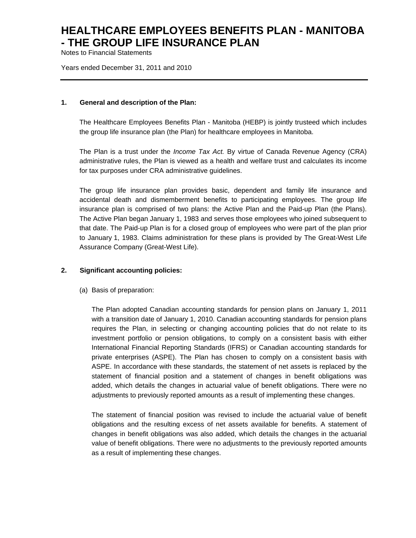Notes to Financial Statements

Years ended December 31, 2011 and 2010

#### **1. General and description of the Plan:**

The Healthcare Employees Benefits Plan - Manitoba (HEBP) is jointly trusteed which includes the group life insurance plan (the Plan) for healthcare employees in Manitoba.

The Plan is a trust under the *Income Tax Act.* By virtue of Canada Revenue Agency (CRA) administrative rules, the Plan is viewed as a health and welfare trust and calculates its income for tax purposes under CRA administrative guidelines.

The group life insurance plan provides basic, dependent and family life insurance and accidental death and dismemberment benefits to participating employees. The group life insurance plan is comprised of two plans: the Active Plan and the Paid-up Plan (the Plans). The Active Plan began January 1, 1983 and serves those employees who joined subsequent to that date. The Paid-up Plan is for a closed group of employees who were part of the plan prior to January 1, 1983. Claims administration for these plans is provided by The Great-West Life Assurance Company (Great-West Life).

### **2. Significant accounting policies:**

(a) Basis of preparation:

The Plan adopted Canadian accounting standards for pension plans on January 1, 2011 with a transition date of January 1, 2010. Canadian accounting standards for pension plans requires the Plan, in selecting or changing accounting policies that do not relate to its investment portfolio or pension obligations, to comply on a consistent basis with either International Financial Reporting Standards (IFRS) or Canadian accounting standards for private enterprises (ASPE). The Plan has chosen to comply on a consistent basis with ASPE. In accordance with these standards, the statement of net assets is replaced by the statement of financial position and a statement of changes in benefit obligations was added, which details the changes in actuarial value of benefit obligations. There were no adjustments to previously reported amounts as a result of implementing these changes.

The statement of financial position was revised to include the actuarial value of benefit obligations and the resulting excess of net assets available for benefits. A statement of changes in benefit obligations was also added, which details the changes in the actuarial value of benefit obligations. There were no adjustments to the previously reported amounts as a result of implementing these changes.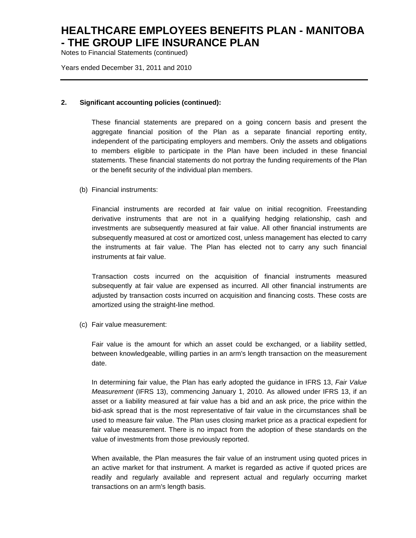Notes to Financial Statements (continued)

Years ended December 31, 2011 and 2010

#### **2. Significant accounting policies (continued):**

These financial statements are prepared on a going concern basis and present the aggregate financial position of the Plan as a separate financial reporting entity, independent of the participating employers and members. Only the assets and obligations to members eligible to participate in the Plan have been included in these financial statements. These financial statements do not portray the funding requirements of the Plan or the benefit security of the individual plan members.

(b) Financial instruments:

Financial instruments are recorded at fair value on initial recognition. Freestanding derivative instruments that are not in a qualifying hedging relationship, cash and investments are subsequently measured at fair value. All other financial instruments are subsequently measured at cost or amortized cost, unless management has elected to carry the instruments at fair value. The Plan has elected not to carry any such financial instruments at fair value.

Transaction costs incurred on the acquisition of financial instruments measured subsequently at fair value are expensed as incurred. All other financial instruments are adjusted by transaction costs incurred on acquisition and financing costs. These costs are amortized using the straight-line method.

(c) Fair value measurement:

Fair value is the amount for which an asset could be exchanged, or a liability settled, between knowledgeable, willing parties in an arm's length transaction on the measurement date.

In determining fair value, the Plan has early adopted the guidance in IFRS 13, *Fair Value Measurement* (IFRS 13), commencing January 1, 2010. As allowed under IFRS 13, if an asset or a liability measured at fair value has a bid and an ask price, the price within the bid-ask spread that is the most representative of fair value in the circumstances shall be used to measure fair value. The Plan uses closing market price as a practical expedient for fair value measurement. There is no impact from the adoption of these standards on the value of investments from those previously reported.

When available, the Plan measures the fair value of an instrument using quoted prices in an active market for that instrument. A market is regarded as active if quoted prices are readily and regularly available and represent actual and regularly occurring market transactions on an arm's length basis.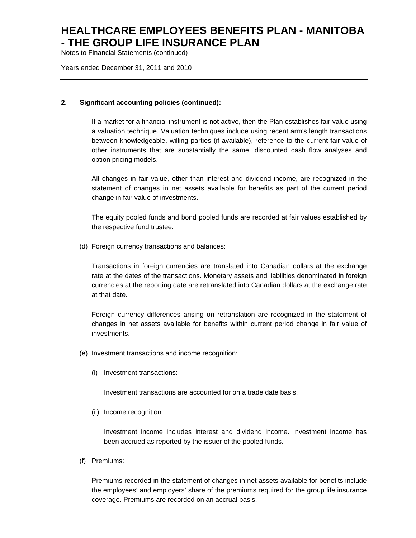Notes to Financial Statements (continued)

Years ended December 31, 2011 and 2010

### **2. Significant accounting policies (continued):**

If a market for a financial instrument is not active, then the Plan establishes fair value using a valuation technique. Valuation techniques include using recent arm's length transactions between knowledgeable, willing parties (if available), reference to the current fair value of other instruments that are substantially the same, discounted cash flow analyses and option pricing models.

All changes in fair value, other than interest and dividend income, are recognized in the statement of changes in net assets available for benefits as part of the current period change in fair value of investments.

The equity pooled funds and bond pooled funds are recorded at fair values established by the respective fund trustee.

(d) Foreign currency transactions and balances:

Transactions in foreign currencies are translated into Canadian dollars at the exchange rate at the dates of the transactions. Monetary assets and liabilities denominated in foreign currencies at the reporting date are retranslated into Canadian dollars at the exchange rate at that date.

Foreign currency differences arising on retranslation are recognized in the statement of changes in net assets available for benefits within current period change in fair value of investments.

- (e) Investment transactions and income recognition:
	- (i) Investment transactions:

Investment transactions are accounted for on a trade date basis.

(ii) Income recognition:

Investment income includes interest and dividend income. Investment income has been accrued as reported by the issuer of the pooled funds.

(f) Premiums:

Premiums recorded in the statement of changes in net assets available for benefits include the employees' and employers' share of the premiums required for the group life insurance coverage. Premiums are recorded on an accrual basis.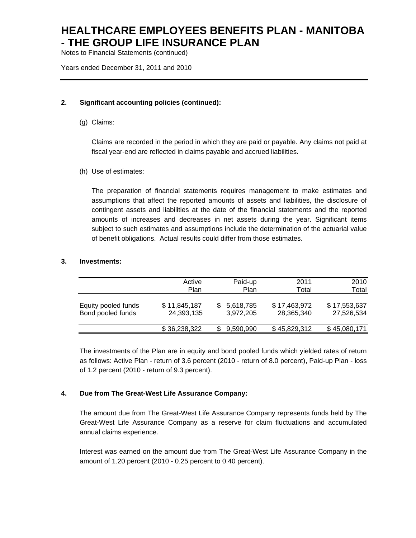Notes to Financial Statements (continued)

Years ended December 31, 2011 and 2010

### **2. Significant accounting policies (continued):**

(g) Claims:

 Claims are recorded in the period in which they are paid or payable. Any claims not paid at fiscal year-end are reflected in claims payable and accrued liabilities.

(h) Use of estimates:

The preparation of financial statements requires management to make estimates and assumptions that affect the reported amounts of assets and liabilities, the disclosure of contingent assets and liabilities at the date of the financial statements and the reported amounts of increases and decreases in net assets during the year. Significant items subject to such estimates and assumptions include the determination of the actuarial value of benefit obligations. Actual results could differ from those estimates.

### **3. Investments:**

|                                          | Active<br>Plan             | Paid-up<br>Plan              | 2011<br>Total              | 2010<br>Total              |
|------------------------------------------|----------------------------|------------------------------|----------------------------|----------------------------|
| Equity pooled funds<br>Bond pooled funds | \$11,845,187<br>24,393,135 | 5,618,785<br>S.<br>3.972.205 | \$17,463,972<br>28,365,340 | \$17,553,637<br>27,526,534 |
|                                          | \$36,238,322               | 9.590.990                    | \$45,829,312               | \$45,080,171               |

The investments of the Plan are in equity and bond pooled funds which yielded rates of return as follows: Active Plan - return of 3.6 percent (2010 - return of 8.0 percent), Paid-up Plan - loss of 1.2 percent (2010 - return of 9.3 percent).

### **4. Due from The Great-West Life Assurance Company:**

The amount due from The Great-West Life Assurance Company represents funds held by The Great-West Life Assurance Company as a reserve for claim fluctuations and accumulated annual claims experience.

Interest was earned on the amount due from The Great-West Life Assurance Company in the amount of 1.20 percent (2010 - 0.25 percent to 0.40 percent).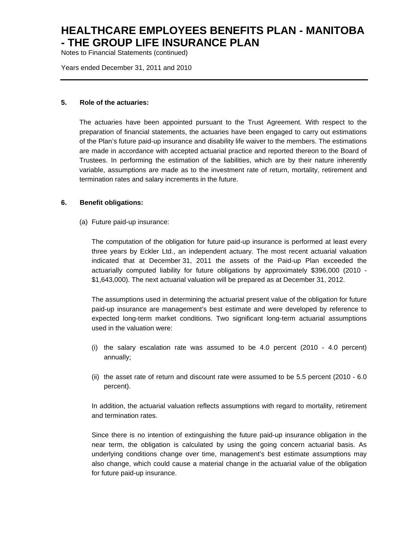Notes to Financial Statements (continued)

Years ended December 31, 2011 and 2010

#### **5. Role of the actuaries:**

The actuaries have been appointed pursuant to the Trust Agreement. With respect to the preparation of financial statements, the actuaries have been engaged to carry out estimations of the Plan's future paid-up insurance and disability life waiver to the members. The estimations are made in accordance with accepted actuarial practice and reported thereon to the Board of Trustees. In performing the estimation of the liabilities, which are by their nature inherently variable, assumptions are made as to the investment rate of return, mortality, retirement and termination rates and salary increments in the future.

#### **6. Benefit obligations:**

(a) Future paid-up insurance:

The computation of the obligation for future paid-up insurance is performed at least every three years by Eckler Ltd., an independent actuary. The most recent actuarial valuation indicated that at December 31, 2011 the assets of the Paid-up Plan exceeded the actuarially computed liability for future obligations by approximately \$396,000 (2010 - \$1,643,000). The next actuarial valuation will be prepared as at December 31, 2012.

The assumptions used in determining the actuarial present value of the obligation for future paid-up insurance are management's best estimate and were developed by reference to expected long-term market conditions. Two significant long-term actuarial assumptions used in the valuation were:

- (i) the salary escalation rate was assumed to be 4.0 percent (2010 4.0 percent) annually;
- (ii) the asset rate of return and discount rate were assumed to be 5.5 percent (2010 6.0 percent).

In addition, the actuarial valuation reflects assumptions with regard to mortality, retirement and termination rates.

Since there is no intention of extinguishing the future paid-up insurance obligation in the near term, the obligation is calculated by using the going concern actuarial basis. As underlying conditions change over time, management's best estimate assumptions may also change, which could cause a material change in the actuarial value of the obligation for future paid-up insurance.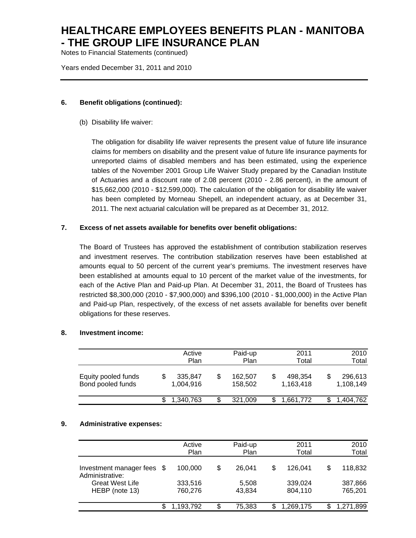Notes to Financial Statements (continued)

Years ended December 31, 2011 and 2010

#### **6. Benefit obligations (continued):**

(b) Disability life waiver:

The obligation for disability life waiver represents the present value of future life insurance claims for members on disability and the present value of future life insurance payments for unreported claims of disabled members and has been estimated, using the experience tables of the November 2001 Group Life Waiver Study prepared by the Canadian Institute of Actuaries and a discount rate of 2.08 percent (2010 - 2.86 percent), in the amount of \$15,662,000 (2010 - \$12,599,000). The calculation of the obligation for disability life waiver has been completed by Morneau Shepell, an independent actuary, as at December 31, 2011. The next actuarial calculation will be prepared as at December 31, 2012.

#### **7. Excess of net assets available for benefits over benefit obligations:**

The Board of Trustees has approved the establishment of contribution stabilization reserves and investment reserves. The contribution stabilization reserves have been established at amounts equal to 50 percent of the current year's premiums. The investment reserves have been established at amounts equal to 10 percent of the market value of the investments, for each of the Active Plan and Paid-up Plan. At December 31, 2011, the Board of Trustees has restricted \$8,300,000 (2010 - \$7,900,000) and \$396,100 (2010 - \$1,000,000) in the Active Plan and Paid-up Plan, respectively, of the excess of net assets available for benefits over benefit obligations for these reserves.

#### **8. Investment income:**

|                                          | Active               |    | Paid-up            | 2011                 | 2010                 |
|------------------------------------------|----------------------|----|--------------------|----------------------|----------------------|
|                                          | Plan                 |    | Plan               | Total                | Total                |
| Equity pooled funds<br>Bond pooled funds | 335,847<br>1.004.916 | S  | 162,507<br>158.502 | 498.354<br>1,163,418 | 296,613<br>1,108,149 |
|                                          | 1,340,763            | \$ | 321,009            | 1,661,772            | 1,404,762            |
|                                          |                      |    |                    |                      |                      |

#### **9. Administrative expenses:**

|                                               | Active<br>Plan     | Paid-up<br>Plan |   | 2011<br>Total      |   | 2010<br>Total      |
|-----------------------------------------------|--------------------|-----------------|---|--------------------|---|--------------------|
| Investment manager fees \$<br>Administrative: | 100.000            | \$<br>26.041    | S | 126.041            | S | 118,832            |
| <b>Great West Life</b><br>HEBP (note 13)      | 333,516<br>760,276 | 5,508<br>43.834 |   | 339.024<br>804.110 |   | 387,866<br>765,201 |
|                                               | 1,193,792          | \$<br>75,383    |   | 1,269,175          |   | 1,271,899          |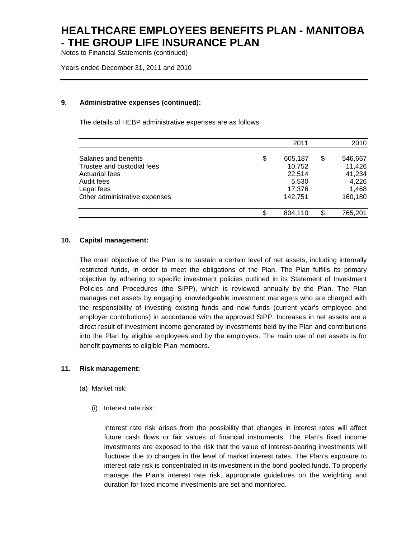Notes to Financial Statements (continued)

Years ended December 31, 2011 and 2010

#### **9. Administrative expenses (continued):**

The details of HEBP administrative expenses are as follows:

|                               | 2011          | 2010          |
|-------------------------------|---------------|---------------|
| Salaries and benefits         | \$<br>605,187 | \$<br>546,667 |
| Trustee and custodial fees    | 10,752        | 11,426        |
| <b>Actuarial fees</b>         | 22,514        | 41,234        |
| Audit fees                    | 5,530         | 4,226         |
| Legal fees                    | 17,376        | 1,468         |
| Other administrative expenses | 142,751       | 160,180       |
|                               | \$<br>804,110 | 765,201       |

#### **10. Capital management:**

The main objective of the Plan is to sustain a certain level of net assets, including internally restricted funds, in order to meet the obligations of the Plan. The Plan fulfills its primary objective by adhering to specific investment policies outlined in its Statement of Investment Policies and Procedures (the SIPP), which is reviewed annually by the Plan. The Plan manages net assets by engaging knowledgeable investment managers who are charged with the responsibility of investing existing funds and new funds (current year's employee and employer contributions) in accordance with the approved SIPP. Increases in net assets are a direct result of investment income generated by investments held by the Plan and contributions into the Plan by eligible employees and by the employers. The main use of net assets is for benefit payments to eligible Plan members.

#### **11. Risk management:**

- (a) Market risk:
	- (i) Interest rate risk:

Interest rate risk arises from the possibility that changes in interest rates will affect future cash flows or fair values of financial instruments. The Plan's fixed income investments are exposed to the risk that the value of interest-bearing investments will fluctuate due to changes in the level of market interest rates. The Plan's exposure to interest rate risk is concentrated in its investment in the bond pooled funds. To properly manage the Plan's interest rate risk, appropriate guidelines on the weighting and duration for fixed income investments are set and monitored.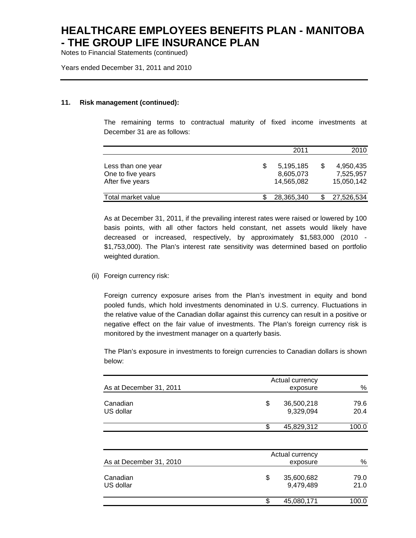Notes to Financial Statements (continued)

Years ended December 31, 2011 and 2010

#### **11. Risk management (continued):**

The remaining terms to contractual maturity of fixed income investments at December 31 are as follows:

|                                                             | 2011                                 |   | 2010                                 |
|-------------------------------------------------------------|--------------------------------------|---|--------------------------------------|
| Less than one year<br>One to five years<br>After five years | 5,195,185<br>8,605,073<br>14.565.082 | S | 4.950.435<br>7.525.957<br>15,050,142 |
| Total market value                                          | 28,365,340                           |   | 27,526,534                           |

As at December 31, 2011, if the prevailing interest rates were raised or lowered by 100 basis points, with all other factors held constant, net assets would likely have decreased or increased, respectively, by approximately \$1,583,000 (2010 - \$1,753,000). The Plan's interest rate sensitivity was determined based on portfolio weighted duration.

(ii) Foreign currency risk:

Foreign currency exposure arises from the Plan's investment in equity and bond pooled funds, which hold investments denominated in U.S. currency. Fluctuations in the relative value of the Canadian dollar against this currency can result in a positive or negative effect on the fair value of investments. The Plan's foreign currency risk is monitored by the investment manager on a quarterly basis.

The Plan's exposure in investments to foreign currencies to Canadian dollars is shown below:

| Actual currency<br>exposure |                         |              |  |  |  |
|-----------------------------|-------------------------|--------------|--|--|--|
| \$                          | 36,500,218<br>9,329,094 | 79.6<br>20.4 |  |  |  |
| S                           | 45,829,312              | 100.0        |  |  |  |
|                             |                         |              |  |  |  |

|                         |    | Actual currency         |              |
|-------------------------|----|-------------------------|--------------|
| As at December 31, 2010 |    | %                       |              |
| Canadian<br>US dollar   | \$ | 35,600,682<br>9.479.489 | 79.0<br>21.0 |
|                         | S  | 45,080,171              | 100.0        |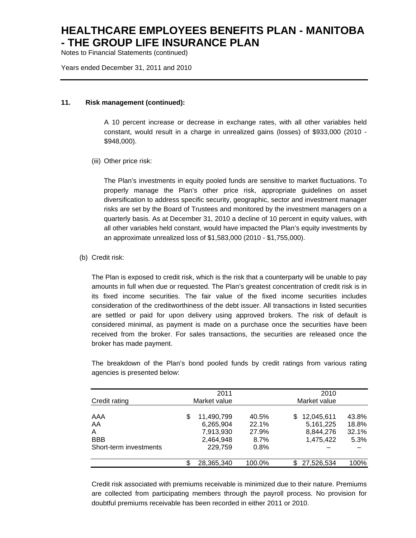Notes to Financial Statements (continued)

Years ended December 31, 2011 and 2010

### **11. Risk management (continued):**

A 10 percent increase or decrease in exchange rates, with all other variables held constant, would result in a charge in unrealized gains (losses) of \$933,000 (2010 - \$948,000).

(iii) Other price risk:

The Plan's investments in equity pooled funds are sensitive to market fluctuations. To properly manage the Plan's other price risk, appropriate guidelines on asset diversification to address specific security, geographic, sector and investment manager risks are set by the Board of Trustees and monitored by the investment managers on a quarterly basis. As at December 31, 2010 a decline of 10 percent in equity values, with all other variables held constant, would have impacted the Plan's equity investments by an approximate unrealized loss of \$1,583,000 (2010 - \$1,755,000).

(b) Credit risk:

The Plan is exposed to credit risk, which is the risk that a counterparty will be unable to pay amounts in full when due or requested. The Plan's greatest concentration of credit risk is in its fixed income securities. The fair value of the fixed income securities includes consideration of the creditworthiness of the debt issuer. All transactions in listed securities are settled or paid for upon delivery using approved brokers. The risk of default is considered minimal, as payment is made on a purchase once the securities have been received from the broker. For sales transactions, the securities are released once the broker has made payment.

The breakdown of the Plan's bond pooled funds by credit ratings from various rating agencies is presented below:

| Credit rating          |    | 2011<br>Market value |        |     | 2010<br>Market value |       |
|------------------------|----|----------------------|--------|-----|----------------------|-------|
|                        |    |                      |        |     |                      |       |
| AAA                    | \$ | 11,490,799           | 40.5%  | SS. | 12,045,611           | 43.8% |
| AA                     |    | 6,265,904            | 22.1%  |     | 5,161,225            | 18.8% |
| A                      |    | 7,913,930            | 27.9%  |     | 8,844,276            | 32.1% |
| <b>BBB</b>             |    | 2,464,948            | 8.7%   |     | 1,475,422            | 5.3%  |
| Short-term investments |    | 229,759              | 0.8%   |     |                      |       |
|                        | S  | 28,365,340           | 100.0% | \$. | 27,526,534           | 100%  |

Credit risk associated with premiums receivable is minimized due to their nature. Premiums are collected from participating members through the payroll process. No provision for doubtful premiums receivable has been recorded in either 2011 or 2010.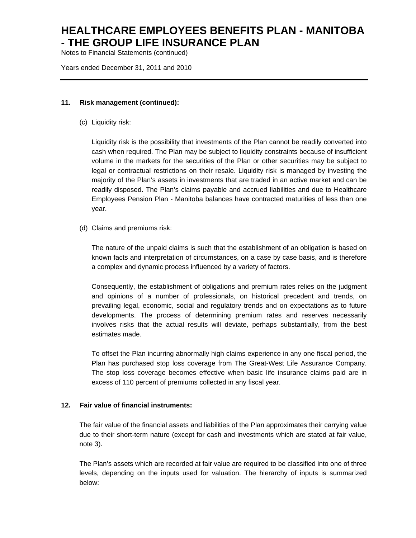Notes to Financial Statements (continued)

Years ended December 31, 2011 and 2010

### **11. Risk management (continued):**

(c) Liquidity risk:

Liquidity risk is the possibility that investments of the Plan cannot be readily converted into cash when required. The Plan may be subject to liquidity constraints because of insufficient volume in the markets for the securities of the Plan or other securities may be subject to legal or contractual restrictions on their resale. Liquidity risk is managed by investing the majority of the Plan's assets in investments that are traded in an active market and can be readily disposed. The Plan's claims payable and accrued liabilities and due to Healthcare Employees Pension Plan - Manitoba balances have contracted maturities of less than one year.

(d) Claims and premiums risk:

The nature of the unpaid claims is such that the establishment of an obligation is based on known facts and interpretation of circumstances, on a case by case basis, and is therefore a complex and dynamic process influenced by a variety of factors.

Consequently, the establishment of obligations and premium rates relies on the judgment and opinions of a number of professionals, on historical precedent and trends, on prevailing legal, economic, social and regulatory trends and on expectations as to future developments. The process of determining premium rates and reserves necessarily involves risks that the actual results will deviate, perhaps substantially, from the best estimates made.

To offset the Plan incurring abnormally high claims experience in any one fiscal period, the Plan has purchased stop loss coverage from The Great-West Life Assurance Company. The stop loss coverage becomes effective when basic life insurance claims paid are in excess of 110 percent of premiums collected in any fiscal year.

### **12. Fair value of financial instruments:**

The fair value of the financial assets and liabilities of the Plan approximates their carrying value due to their short-term nature (except for cash and investments which are stated at fair value, note 3).

The Plan's assets which are recorded at fair value are required to be classified into one of three levels, depending on the inputs used for valuation. The hierarchy of inputs is summarized below: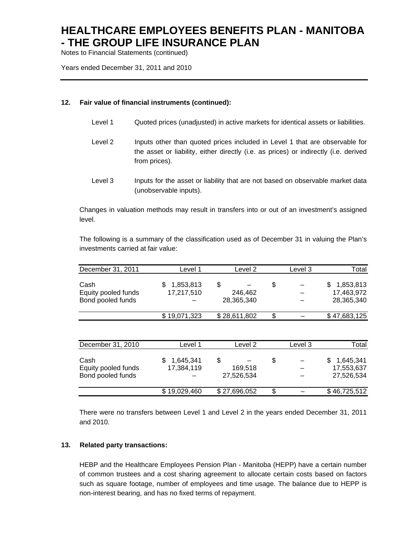Notes to Financial Statements (continued)

Years ended December 31, 2011 and 2010

### **12. Fair value of financial instruments (continued):**

- Level 1 Quoted prices (unadjusted) in active markets for identical assets or liabilities.
- Level 2 Inputs other than quoted prices included in Level 1 that are observable for the asset or liability, either directly (i.e. as prices) or indirectly (i.e. derived from prices).
- Level 3 Inputs for the asset or liability that are not based on observable market data (unobservable inputs).

Changes in valuation methods may result in transfers into or out of an investment's assigned level.

The following is a summary of the classification used as of December 31 in valuing the Plan's investments carried at fair value:

| December 31, 2011                                | Level 1                        | Level 2                     | Level 3 | Total                                      |
|--------------------------------------------------|--------------------------------|-----------------------------|---------|--------------------------------------------|
| Cash<br>Equity pooled funds<br>Bond pooled funds | 1,853,813<br>\$<br>17,217,510  | \$<br>246,462<br>28,365,340 | \$      | 1,853,813<br>S<br>17,463,972<br>28,365,340 |
|                                                  | \$19,071,323                   | \$28,611,802                | \$      | \$47,683,125                               |
|                                                  |                                |                             |         |                                            |
| December 31, 2010                                | Level 1                        | Level <sub>2</sub>          | Level 3 | Total                                      |
| Cash<br>Equity pooled funds<br>Bond pooled funds | 1,645,341<br>\$.<br>17,384,119 | \$<br>169,518<br>27,526,534 | \$      | 1,645,341<br>S<br>17,553,637<br>27,526,534 |
|                                                  | \$19,029,460                   | \$27,696,052                | \$      | \$46,725,512                               |

There were no transfers between Level 1 and Level 2 in the years ended December 31, 2011 and 2010.

### **13. Related party transactions:**

HEBP and the Healthcare Employees Pension Plan - Manitoba (HEPP) have a certain number of common trustees and a cost sharing agreement to allocate certain costs based on factors such as square footage, number of employees and time usage. The balance due to HEPP is non-interest bearing, and has no fixed terms of repayment.